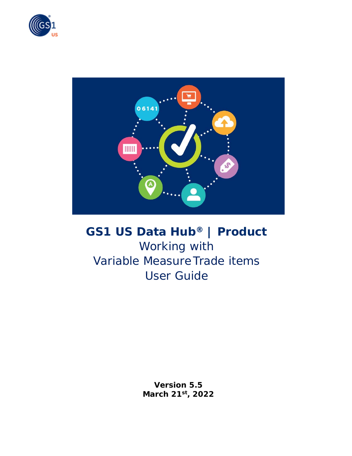



# **GS1 US Data Hub® | Product**

Working with Variable Measure Trade items User Guide

> **Version 5.5 March 21st, 2022**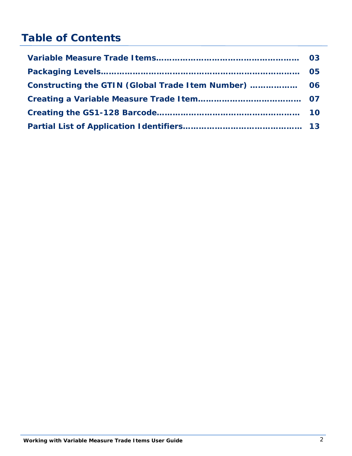## **Table of Contents**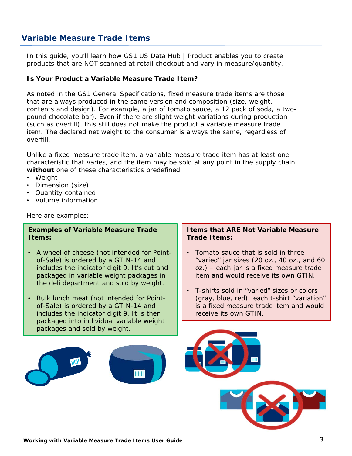#### **Variable Measure Trade Items**

In this guide, you'll learn how GS1 US Data Hub | Product enables you to create products that are NOT scanned at retail checkout and vary in measure/quantity.

#### **Is Your Product a Variable Measure Trade Item?**

As noted in the GS1 General Specifications, fixed measure trade items are those that are always produced in the same version and composition (size, weight, contents and design). For example, a jar of tomato sauce, a 12 pack of soda, a twopound chocolate bar). Even if there are slight weight variations during production (such as overfill), this still does not make the product a variable measure trade item. The declared net weight to the consumer is always the same, regardless of overfill.

Unlike a fixed measure trade item, a variable measure trade item has at least one characteristic that varies, and the item may be sold at any point in the supply chain **without** one of these characteristics predefined:

- Weight
- Dimension (size)
- Quantity contained
- Volume information

Here are examples:

#### **Examples of Variable Measure Trade Items:**

- A wheel of cheese (not intended for Pointof-Sale) is ordered by a GTIN-14 and includes the indicator digit 9. It's cut and packaged in variable weight packages in the deli department and sold by weight.
- Bulk lunch meat (not intended for Pointof-Sale) is ordered by a GTIN-14 and includes the indicator digit 9. It is then packaged into individual variable weight packages and sold by weight.

#### **Items that ARE Not Variable Measure Trade Items:**

- Tomato sauce that is sold in three "varied" jar sizes (20 oz., 40 oz., and 60 oz.) – each jar is a fixed measure trade item and would receive its own GTIN.
- T-shirts sold in "varied" sizes or colors (gray, blue, red); each t-shirt "variation" is a fixed measure trade item and would receive its own GTIN.

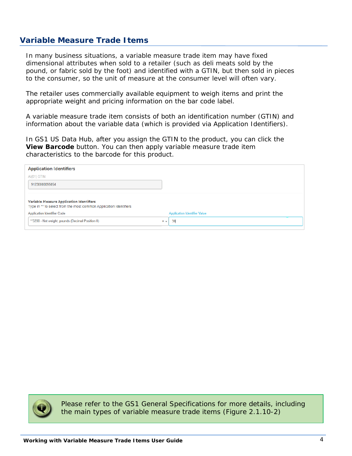#### **Variable Measure Trade Items**

In many business situations, a variable measure trade item may have fixed dimensional attributes when sold to a retailer (such as deli meats sold by the pound, or fabric sold by the foot) and identified with a GTIN, but then sold in pieces to the consumer, so the unit of measure at the consumer level will often vary.

The retailer uses commercially available equipment to weigh items and print the appropriate weight and pricing information on the bar code label.

A variable measure trade item consists of both an identification number (GTIN) and information about the variable data (which is provided via Application Identifiers).

In GS1 US Data Hub, after you assign the GTIN to the product, you can click the **View Barcode** button. You can then apply variable measure trade item characteristics to the barcode for this product.

| <b>Application Identifiers</b>                                                                                |       |                                     |  |
|---------------------------------------------------------------------------------------------------------------|-------|-------------------------------------|--|
| AI(01) GTIN                                                                                                   |       |                                     |  |
| 91230000095054                                                                                                |       |                                     |  |
|                                                                                                               |       |                                     |  |
| Variable Measure Application Identifiers<br>Type in ** to select from the most common Application Identifiers |       |                                     |  |
| <b>Application Identifier Code</b>                                                                            |       | <b>Application Identifier Value</b> |  |
| **3200 - Net weight, pounds (Decimal Position 0)                                                              | $x -$ | 30                                  |  |



Please refer to the GS1 General Specifications for more details, including the main types of variable measure trade items (Figure 2.1.10-2)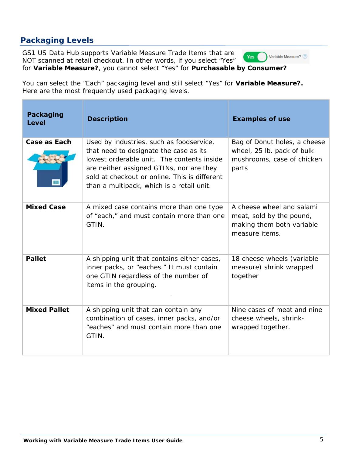## **Packaging Levels**

GS1 US Data Hub supports Variable Measure Trade Items that are Yes ( NOT scanned at retail checkout. In other words, if you select "Yes" for **Variable Measure?**, you cannot select "Yes" for **Purchasable by Consumer?**

You can select the "Each" packaging level and still select "Yes" for **Variable Measure?.**  Here are the most frequently used packaging levels.

| Packaging<br>Level  | <b>Description</b>                                                                                                                                                                                                                                                         | <b>Examples of use</b>                                                                               |
|---------------------|----------------------------------------------------------------------------------------------------------------------------------------------------------------------------------------------------------------------------------------------------------------------------|------------------------------------------------------------------------------------------------------|
| <b>Case as Each</b> | Used by industries, such as foodservice,<br>that need to designate the case as its<br>lowest orderable unit. The contents inside<br>are neither assigned GTINs, nor are they<br>sold at checkout or online. This is different<br>than a multipack, which is a retail unit. | Bag of Donut holes, a cheese<br>wheel, 25 lb. pack of bulk<br>mushrooms, case of chicken<br>parts    |
| <b>Mixed Case</b>   | A mixed case contains more than one type<br>of "each," and must contain more than one<br>GTIN.                                                                                                                                                                             | A cheese wheel and salami<br>meat, sold by the pound,<br>making them both variable<br>measure items. |
| <b>Pallet</b>       | A shipping unit that contains either cases,<br>inner packs, or "eaches." It must contain<br>one GTIN regardless of the number of<br>items in the grouping.                                                                                                                 | 18 cheese wheels (variable<br>measure) shrink wrapped<br>together                                    |
| <b>Mixed Pallet</b> | A shipping unit that can contain any<br>combination of cases, inner packs, and/or<br>"eaches" and must contain more than one<br>GTIN.                                                                                                                                      | Nine cases of meat and nine<br>cheese wheels, shrink-<br>wrapped together.                           |

Variable Measure? 2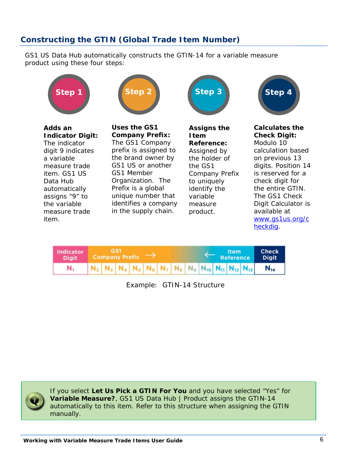#### **Constructing the GTIN (Global Trade Item Number)**

GS1 US Data Hub automatically constructs the GTIN-14 for a variable measure product using these four steps:





**Adds an Indicator Digit:**  The indicator digit 9 indicates a variable measure trade item. GS1 US Data Hub automatically assigns "9" to the variable measure trade item.

**Uses the GS1 Company Prefix:**  The GS1 Company prefix is assigned to the brand owner by GS1 US or another GS1 Member Organization. The Prefix is a global unique number that identifies a company in the supply chain.



**Assigns the Item Reference:**  Assigned by the holder of the GS1 Company Prefix to uniquely identify the variable measure product.



**Calculates the Check Digit:**

Modulo 10 calculation based on previous 13 digits. Position 14 is reserved for a check digit for the entire GTIN. The GS1 Check Digit Calculator is available at www.gs1us.org/c heckdig.



*Example: GTIN-14 Structure*



If you select **Let Us Pick a GTIN For You** and you have selected "Yes" for **Variable Measure?**, GS1 US Data Hub | Product assigns the GTIN-14 automatically to this item. Refer to this structure when assigning the GTIN manually.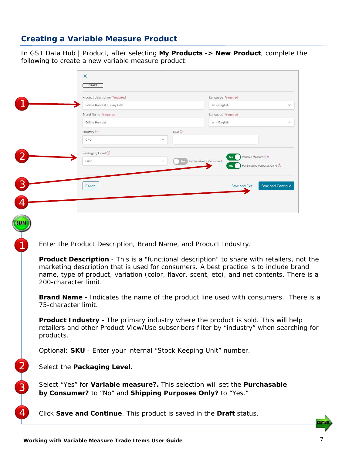#### **Creating a Variable Measure Product**

In GS1 Data Hub | Product, after selecting **My Products -> New Product**, complete the following to create a new variable measure product:

|                      | ×                                                                                                 |              |                                                        |                          |
|----------------------|---------------------------------------------------------------------------------------------------|--------------|--------------------------------------------------------|--------------------------|
|                      | DRAFT                                                                                             |              |                                                        |                          |
|                      | Product Description *required                                                                     |              | Language *required                                     |                          |
|                      | Edible Harvest Turkey Deli                                                                        |              | en - English                                           |                          |
|                      | Brand Name *required                                                                              |              | Language *required                                     |                          |
|                      | Edible Harvest                                                                                    |              | en - English                                           |                          |
|                      | Industry 2                                                                                        | SKU 7        |                                                        |                          |
|                      | CPG                                                                                               | $\checkmark$ |                                                        |                          |
|                      | Packaging Level (?)                                                                               |              |                                                        |                          |
|                      | Each                                                                                              |              | Variable Measure? 2<br>Yes<br>Purchasable by Consumer? |                          |
|                      |                                                                                                   |              | For Shipping Purposes Only? 2                          |                          |
|                      |                                                                                                   |              |                                                        |                          |
|                      | Cancel                                                                                            |              | Save and Exit                                          | <b>Save and Continue</b> |
|                      |                                                                                                   |              |                                                        |                          |
|                      |                                                                                                   |              |                                                        |                          |
|                      |                                                                                                   |              |                                                        |                          |
|                      |                                                                                                   |              |                                                        |                          |
|                      |                                                                                                   |              |                                                        |                          |
|                      |                                                                                                   |              |                                                        |                          |
|                      |                                                                                                   |              |                                                        |                          |
|                      |                                                                                                   |              |                                                        |                          |
|                      | Enter the Product Description, Brand Name, and Product Industry.                                  |              |                                                        |                          |
|                      |                                                                                                   |              |                                                        |                          |
|                      | <b>Product Description</b> - This is a "functional description" to share with retailers, not the  |              |                                                        |                          |
|                      | marketing description that is used for consumers. A best practice is to include brand             |              |                                                        |                          |
|                      | name, type of product, variation (color, flavor, scent, etc), and net contents. There is a        |              |                                                        |                          |
| 200-character limit. |                                                                                                   |              |                                                        |                          |
|                      |                                                                                                   |              |                                                        |                          |
|                      | <b>Brand Name -</b> Indicates the name of the product line used with consumers. <i>There is a</i> |              |                                                        |                          |
| 75-character limit.  |                                                                                                   |              |                                                        |                          |
|                      |                                                                                                   |              |                                                        |                          |
|                      |                                                                                                   |              |                                                        |                          |
|                      | <b>Product Industry</b> - The primary industry where the product is sold. This will help          |              |                                                        |                          |
|                      | retailers and other Product View/Use subscribers filter by "industry" when searching for          |              |                                                        |                          |
| products.            |                                                                                                   |              |                                                        |                          |
|                      |                                                                                                   |              |                                                        |                          |
|                      | Optional: SKU - Enter your internal "Stock Keeping Unit" number.                                  |              |                                                        |                          |
|                      |                                                                                                   |              |                                                        |                          |
|                      | Select the Packaging Level.                                                                       |              |                                                        |                          |
|                      |                                                                                                   |              |                                                        |                          |
|                      |                                                                                                   |              |                                                        |                          |
|                      |                                                                                                   |              |                                                        |                          |
|                      | Select "Yes" for Variable measure?. This selection will set the Purchasable                       |              |                                                        |                          |
|                      | by Consumer? to "No" and Shipping Purposes Only? to "Yes."                                        |              |                                                        |                          |
|                      |                                                                                                   |              |                                                        |                          |
|                      | Click Save and Continue. This product is saved in the Draft status.                               |              |                                                        |                          |

CONTINUE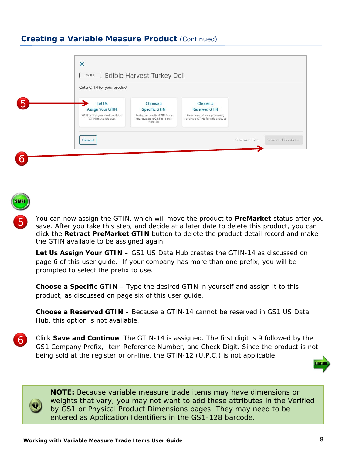#### **Creating a Variable Measure Product** *(Continued)*

| Get a GTIN for your product                                                                   |                                                                                                            |                                                                                                      |  |
|-----------------------------------------------------------------------------------------------|------------------------------------------------------------------------------------------------------------|------------------------------------------------------------------------------------------------------|--|
| Let Us<br><b>Assign Your GTIN</b><br>We'll assign your next available<br>GTIN to this product | Choose a<br><b>Specific GTIN</b><br>Assign a specific GTIN from<br>your available GTINs to this<br>product | Choose a<br><b>Reserved GTIN</b><br>Select one of your previously<br>reserved GTINs for this product |  |
|                                                                                               |                                                                                                            |                                                                                                      |  |

You can now assign the GTIN, which will move the product to **PreMarket** status after you save. After you take this step, and decide at a later date to delete this product, you can click the **Retract PreMarket GTIN** button to delete the product detail record and make the GTIN available to be assigned again.

Let Us Assign Your GTIN - GS1 US Data Hub creates the GTIN-14 as discussed on page 6 of this user guide. If your company has more than one prefix, you will be prompted to select the prefix to use.

**Choose a Specific GTIN** – Type the desired GTIN in yourself and assign it to this product, as discussed on page six of this user guide.

**Choose a Reserved GTIN** – Because a GTIN-14 cannot be reserved in GS1 US Data Hub, this option is not available.

Click **Save and Continue**. The GTIN-14 is assigned. The first digit is 9 followed by the GS1 Company Prefix, Item Reference Number, and Check Digit. Since the product is not being sold at the register or on-line, the GTIN-12 (U.P.C.) is not applicable.



5

6

**NOTE:** Because variable measure trade items may have dimensions or weights that vary, you may not want to add these attributes in the Verified by GS1 or Physical Product Dimensions pages. They may need to be entered as Application Identifiers in the GS1-128 barcode.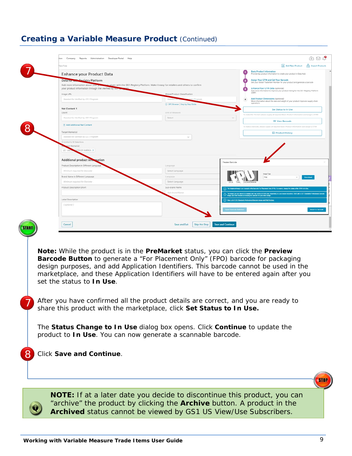## **Creating a Variable Measure Product** *(Continued)*

| <b>Enhance your Product Data</b><br>Data for CathPegistry Platform<br>Add more information about your<br>your product information through the Verified by Os-<br>Needed for Verified by GS1 Program<br>Needed for Verified by GS1 Program<br>FI Add Additional Net Content<br>Needed for Verified by GS I Program<br>Limited to 50 Selections<br>ES OF AMERICA X<br>Additional product into<br>nation<br>Product Description in Different Language<br>Minimum reguired for Barcode<br>Brand Name in Different Language<br>Minimum required for Barcode<br>Product Description Short | o share with the GS1 Registry Platform. Make it easy for retailers and others to confirm<br>Global Product Classification<br>C GPC Browser   Step by Step Guide<br>Unit of Measure<br>Select<br>Canguage<br>Select Language<br>Lampuage<br>Select Language<br>Sub-brand Name<br>ub-biand Nam<br>Save and Exit | Preview Barcode | <b>Basic Product Information</b><br>Provide key product information to create your product in Data Hub<br>Assign Your GTIN and Get Your Barcode<br>Get your Global Trade Item Number for your product and generate a barcode<br>Enhance Your GTIN Data (optional)<br>Add more information to improve your product listing for the GS1 Registry Platform<br>Add Product Dimensions (optional)<br>More information about the size and weight of your product improves supply chain<br>operations<br>Set Status to In Use<br>To make this "In Use" please supply all required Basic Product Information and assign a GTIN<br>$\vee$<br><b>III</b> View Barcode<br>To make a barcode, please supply all required Basic Product Information and assign a GTIN<br><b>E</b> Product History<br>red image is an example of the barcode For Placement Only (FPO). To remove, change the status of the GTIN to in Us<br>(1) The mage you see above is a sample and may not be at 100% size, depending on your screen resolution. Work with a GS1 State<br>(1) View List of GS1 Standards Professional Barondo Image and Print Wordows |                                                                                                                                                                                                                    |
|-------------------------------------------------------------------------------------------------------------------------------------------------------------------------------------------------------------------------------------------------------------------------------------------------------------------------------------------------------------------------------------------------------------------------------------------------------------------------------------------------------------------------------------------------------------------------------------|---------------------------------------------------------------------------------------------------------------------------------------------------------------------------------------------------------------------------------------------------------------------------------------------------------------|-----------------|-----------------------------------------------------------------------------------------------------------------------------------------------------------------------------------------------------------------------------------------------------------------------------------------------------------------------------------------------------------------------------------------------------------------------------------------------------------------------------------------------------------------------------------------------------------------------------------------------------------------------------------------------------------------------------------------------------------------------------------------------------------------------------------------------------------------------------------------------------------------------------------------------------------------------------------------------------------------------------------------------------------------------------------------------------------------------------------------------------------------------------|--------------------------------------------------------------------------------------------------------------------------------------------------------------------------------------------------------------------|
|                                                                                                                                                                                                                                                                                                                                                                                                                                                                                                                                                                                     |                                                                                                                                                                                                                                                                                                               |                 |                                                                                                                                                                                                                                                                                                                                                                                                                                                                                                                                                                                                                                                                                                                                                                                                                                                                                                                                                                                                                                                                                                                             |                                                                                                                                                                                                                    |
|                                                                                                                                                                                                                                                                                                                                                                                                                                                                                                                                                                                     |                                                                                                                                                                                                                                                                                                               |                 |                                                                                                                                                                                                                                                                                                                                                                                                                                                                                                                                                                                                                                                                                                                                                                                                                                                                                                                                                                                                                                                                                                                             |                                                                                                                                                                                                                    |
|                                                                                                                                                                                                                                                                                                                                                                                                                                                                                                                                                                                     |                                                                                                                                                                                                                                                                                                               |                 |                                                                                                                                                                                                                                                                                                                                                                                                                                                                                                                                                                                                                                                                                                                                                                                                                                                                                                                                                                                                                                                                                                                             |                                                                                                                                                                                                                    |
|                                                                                                                                                                                                                                                                                                                                                                                                                                                                                                                                                                                     |                                                                                                                                                                                                                                                                                                               |                 |                                                                                                                                                                                                                                                                                                                                                                                                                                                                                                                                                                                                                                                                                                                                                                                                                                                                                                                                                                                                                                                                                                                             |                                                                                                                                                                                                                    |
|                                                                                                                                                                                                                                                                                                                                                                                                                                                                                                                                                                                     |                                                                                                                                                                                                                                                                                                               |                 |                                                                                                                                                                                                                                                                                                                                                                                                                                                                                                                                                                                                                                                                                                                                                                                                                                                                                                                                                                                                                                                                                                                             |                                                                                                                                                                                                                    |
|                                                                                                                                                                                                                                                                                                                                                                                                                                                                                                                                                                                     |                                                                                                                                                                                                                                                                                                               |                 |                                                                                                                                                                                                                                                                                                                                                                                                                                                                                                                                                                                                                                                                                                                                                                                                                                                                                                                                                                                                                                                                                                                             |                                                                                                                                                                                                                    |
|                                                                                                                                                                                                                                                                                                                                                                                                                                                                                                                                                                                     |                                                                                                                                                                                                                                                                                                               |                 |                                                                                                                                                                                                                                                                                                                                                                                                                                                                                                                                                                                                                                                                                                                                                                                                                                                                                                                                                                                                                                                                                                                             |                                                                                                                                                                                                                    |
|                                                                                                                                                                                                                                                                                                                                                                                                                                                                                                                                                                                     |                                                                                                                                                                                                                                                                                                               |                 |                                                                                                                                                                                                                                                                                                                                                                                                                                                                                                                                                                                                                                                                                                                                                                                                                                                                                                                                                                                                                                                                                                                             |                                                                                                                                                                                                                    |
|                                                                                                                                                                                                                                                                                                                                                                                                                                                                                                                                                                                     |                                                                                                                                                                                                                                                                                                               |                 |                                                                                                                                                                                                                                                                                                                                                                                                                                                                                                                                                                                                                                                                                                                                                                                                                                                                                                                                                                                                                                                                                                                             |                                                                                                                                                                                                                    |
|                                                                                                                                                                                                                                                                                                                                                                                                                                                                                                                                                                                     |                                                                                                                                                                                                                                                                                                               |                 |                                                                                                                                                                                                                                                                                                                                                                                                                                                                                                                                                                                                                                                                                                                                                                                                                                                                                                                                                                                                                                                                                                                             |                                                                                                                                                                                                                    |
|                                                                                                                                                                                                                                                                                                                                                                                                                                                                                                                                                                                     |                                                                                                                                                                                                                                                                                                               |                 |                                                                                                                                                                                                                                                                                                                                                                                                                                                                                                                                                                                                                                                                                                                                                                                                                                                                                                                                                                                                                                                                                                                             |                                                                                                                                                                                                                    |
|                                                                                                                                                                                                                                                                                                                                                                                                                                                                                                                                                                                     |                                                                                                                                                                                                                                                                                                               |                 |                                                                                                                                                                                                                                                                                                                                                                                                                                                                                                                                                                                                                                                                                                                                                                                                                                                                                                                                                                                                                                                                                                                             |                                                                                                                                                                                                                    |
|                                                                                                                                                                                                                                                                                                                                                                                                                                                                                                                                                                                     |                                                                                                                                                                                                                                                                                                               |                 |                                                                                                                                                                                                                                                                                                                                                                                                                                                                                                                                                                                                                                                                                                                                                                                                                                                                                                                                                                                                                                                                                                                             |                                                                                                                                                                                                                    |
|                                                                                                                                                                                                                                                                                                                                                                                                                                                                                                                                                                                     |                                                                                                                                                                                                                                                                                                               |                 |                                                                                                                                                                                                                                                                                                                                                                                                                                                                                                                                                                                                                                                                                                                                                                                                                                                                                                                                                                                                                                                                                                                             |                                                                                                                                                                                                                    |
|                                                                                                                                                                                                                                                                                                                                                                                                                                                                                                                                                                                     |                                                                                                                                                                                                                                                                                                               |                 |                                                                                                                                                                                                                                                                                                                                                                                                                                                                                                                                                                                                                                                                                                                                                                                                                                                                                                                                                                                                                                                                                                                             |                                                                                                                                                                                                                    |
|                                                                                                                                                                                                                                                                                                                                                                                                                                                                                                                                                                                     |                                                                                                                                                                                                                                                                                                               |                 |                                                                                                                                                                                                                                                                                                                                                                                                                                                                                                                                                                                                                                                                                                                                                                                                                                                                                                                                                                                                                                                                                                                             |                                                                                                                                                                                                                    |
|                                                                                                                                                                                                                                                                                                                                                                                                                                                                                                                                                                                     |                                                                                                                                                                                                                                                                                                               |                 |                                                                                                                                                                                                                                                                                                                                                                                                                                                                                                                                                                                                                                                                                                                                                                                                                                                                                                                                                                                                                                                                                                                             |                                                                                                                                                                                                                    |
|                                                                                                                                                                                                                                                                                                                                                                                                                                                                                                                                                                                     |                                                                                                                                                                                                                                                                                                               |                 |                                                                                                                                                                                                                                                                                                                                                                                                                                                                                                                                                                                                                                                                                                                                                                                                                                                                                                                                                                                                                                                                                                                             |                                                                                                                                                                                                                    |
|                                                                                                                                                                                                                                                                                                                                                                                                                                                                                                                                                                                     |                                                                                                                                                                                                                                                                                                               |                 |                                                                                                                                                                                                                                                                                                                                                                                                                                                                                                                                                                                                                                                                                                                                                                                                                                                                                                                                                                                                                                                                                                                             |                                                                                                                                                                                                                    |
|                                                                                                                                                                                                                                                                                                                                                                                                                                                                                                                                                                                     |                                                                                                                                                                                                                                                                                                               |                 |                                                                                                                                                                                                                                                                                                                                                                                                                                                                                                                                                                                                                                                                                                                                                                                                                                                                                                                                                                                                                                                                                                                             |                                                                                                                                                                                                                    |
|                                                                                                                                                                                                                                                                                                                                                                                                                                                                                                                                                                                     |                                                                                                                                                                                                                                                                                                               |                 |                                                                                                                                                                                                                                                                                                                                                                                                                                                                                                                                                                                                                                                                                                                                                                                                                                                                                                                                                                                                                                                                                                                             |                                                                                                                                                                                                                    |
|                                                                                                                                                                                                                                                                                                                                                                                                                                                                                                                                                                                     |                                                                                                                                                                                                                                                                                                               |                 | sport Barcode Defin                                                                                                                                                                                                                                                                                                                                                                                                                                                                                                                                                                                                                                                                                                                                                                                                                                                                                                                                                                                                                                                                                                         |                                                                                                                                                                                                                    |
| set the status to <b>In Use</b> .                                                                                                                                                                                                                                                                                                                                                                                                                                                                                                                                                   | design purposes, and add Application Identifiers. This barcode cannot be used in the<br>marketplace, and these Application Identifiers will have to be entered again after you<br>After you have confirmed all the product details are correct, and you are ready to                                          |                 |                                                                                                                                                                                                                                                                                                                                                                                                                                                                                                                                                                                                                                                                                                                                                                                                                                                                                                                                                                                                                                                                                                                             |                                                                                                                                                                                                                    |
|                                                                                                                                                                                                                                                                                                                                                                                                                                                                                                                                                                                     |                                                                                                                                                                                                                                                                                                               |                 |                                                                                                                                                                                                                                                                                                                                                                                                                                                                                                                                                                                                                                                                                                                                                                                                                                                                                                                                                                                                                                                                                                                             |                                                                                                                                                                                                                    |
|                                                                                                                                                                                                                                                                                                                                                                                                                                                                                                                                                                                     | Click Save and Continue.                                                                                                                                                                                                                                                                                      |                 |                                                                                                                                                                                                                                                                                                                                                                                                                                                                                                                                                                                                                                                                                                                                                                                                                                                                                                                                                                                                                                                                                                                             | share this product with the marketplace, click Set Status to In Use.<br>The Status Change to In Use dialog box opens. Click Continue to update the<br>product to In Use. You can now generate a scannable barcode. |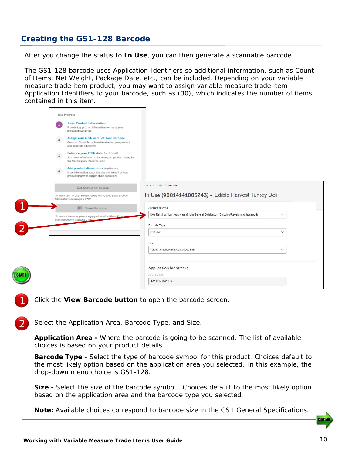## **Creating the GS1-128 Barcode**

After you change the status to **In Use**, you can then generate a scannable barcode.

The GS1-128 barcode uses Application Identifiers so additional information, such as Count of Items, Net Weight, Package Date, etc., can be included. Depending on your variable measure trade item product, you may want to assign variable measure trade item Application Identifiers to your barcode, such as (30), which indicates the number of items contained in this item.

|              | Your Progress                                                                                                                                      |                                                                                                   |  |
|--------------|----------------------------------------------------------------------------------------------------------------------------------------------------|---------------------------------------------------------------------------------------------------|--|
|              | <b>Basic Product Information</b><br>$\mathbf{1}$<br>Provide key product information to create your<br>product in Data Hub                          |                                                                                                   |  |
|              | Assign Your GTIN and Get Your Barcode<br>$\overline{z}$<br>Get your Global Trade Item Number for your product<br>and generate a barcode            |                                                                                                   |  |
|              | Enhance your GTIN data (optional)<br>$\overline{3}$<br>Add more information to improve your product listing for<br>the GS1 Registry Platform (GRP) |                                                                                                   |  |
|              | Add product dimensions (optional)<br>More information about the size and weight of your<br>product improves supply chain operations                |                                                                                                   |  |
|              | Set Status to In Use                                                                                                                               | Home > Product > Barcode                                                                          |  |
|              | To make this "In Use" please supply all required Basic Product<br>Information and assign a GTIN.                                                   | In Use (90814141005243) - Edible Harvest Turkey Deli                                              |  |
|              | <b>III</b> View Barcode                                                                                                                            | <b>Application Area</b>                                                                           |  |
|              | To make a barcode, please supply all required Basic Product<br>Information and assign a GTIM                                                       | Non-Retail or Non-Healthcare & Is in General Distribution (Shipping/Receiving or transport)<br>v. |  |
|              |                                                                                                                                                    | Barcode Type                                                                                      |  |
|              |                                                                                                                                                    | GS1-128<br>$\checkmark$                                                                           |  |
|              |                                                                                                                                                    | <b>Size</b>                                                                                       |  |
|              |                                                                                                                                                    | Target - 0.49500 mm X 31.75000 mm<br>$\checkmark$                                                 |  |
|              |                                                                                                                                                    |                                                                                                   |  |
|              |                                                                                                                                                    | <b>Application Identifiers</b>                                                                    |  |
| <b>START</b> |                                                                                                                                                    | AI(01) GTIN                                                                                       |  |
|              |                                                                                                                                                    | 90814141005243                                                                                    |  |
|              |                                                                                                                                                    |                                                                                                   |  |

Click the **View Barcode button** to open the barcode screen.

Select the Application Area, Barcode Type, and Size.

1

2

**Application Area -** Where the barcode is going to be scanned. The list of available choices is based on your product details.

**Barcode Type -** Select the type of barcode symbol for this product. Choices default to the most likely option based on the application area you selected. In this example, the drop-down menu choice is GS1-128.

**Size -** Select the size of the barcode symbol. Choices default to the most likely option based on the application area and the barcode type you selected.

**Note:** Available choices correspond to barcode size in the GS1 General Specifications.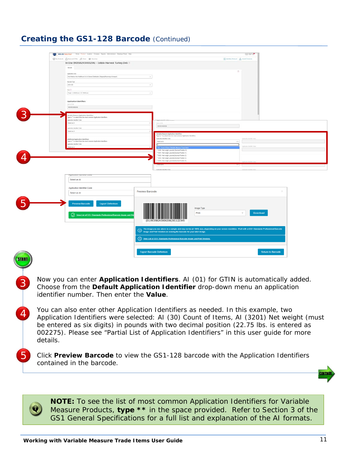#### **Creating the GS1-128 Barcode** *(Continued)*

| GS1US Data Hub: Home Rodor Loymer Company Repute Administration Dealine Parks Help                      |                        |                                                                                                                                                      | ④回復                                 |  |
|---------------------------------------------------------------------------------------------------------|------------------------|------------------------------------------------------------------------------------------------------------------------------------------------------|-------------------------------------|--|
| Givenson American plane @ Neithe                                                                        |                        |                                                                                                                                                      | El ant heir Probert A mont Hostacts |  |
| In Use (90358243000206) - Edible Harvest Turkey Deli                                                    |                        |                                                                                                                                                      |                                     |  |
| <b>Barcolo</b>                                                                                          |                        |                                                                                                                                                      |                                     |  |
| Application Area                                                                                        |                        |                                                                                                                                                      | $\circ$                             |  |
| Inter-Rated or New Healthcare & to in Deneral Distributor (Disputes/Receives or learnsport)             | $\sim$                 |                                                                                                                                                      |                                     |  |
| <b>Bassis Type</b>                                                                                      |                        |                                                                                                                                                      |                                     |  |
| <b>DIVIDE</b>                                                                                           | $\sim$                 |                                                                                                                                                      |                                     |  |
| 164(2)                                                                                                  |                        |                                                                                                                                                      |                                     |  |
| Tarpet - 8 49539 mm E 31 75000 mm                                                                       | $\sim$                 |                                                                                                                                                      |                                     |  |
|                                                                                                         |                        |                                                                                                                                                      |                                     |  |
| Application Identifiers<br>AAN U U SHI                                                                  |                        |                                                                                                                                                      |                                     |  |
| <b>BETERS CONSUME</b>                                                                                   |                        |                                                                                                                                                      |                                     |  |
| Variable Measure Application Identifiers                                                                |                        |                                                                                                                                                      |                                     |  |
| ype in ** to select from the must common Application liberatives                                        |                        |                                                                                                                                                      |                                     |  |
| spielation basebbar Cocke<br>Daimed ant All                                                             | $\sim$                 | <b>ARTICLES</b>                                                                                                                                      |                                     |  |
|                                                                                                         |                        | senzoniose                                                                                                                                           |                                     |  |
| galaskan kierolier Code<br>Select an Ali                                                                |                        |                                                                                                                                                      |                                     |  |
|                                                                                                         |                        | Variable Measure Application Mentifiers                                                                                                              |                                     |  |
|                                                                                                         |                        | Type in <sup>14</sup> to select from the most common Application libertifiers<br>Application Insertifier Coole                                       | spinate institution                 |  |
| creditorial Application Identifiers<br>ype in ** to select from the most common Application identifiers |                        | function of                                                                                                                                          | $-1$                                |  |
| plushim kierither Code                                                                                  |                        |                                                                                                                                                      | typicalise involtor today           |  |
| ert as Air                                                                                              |                        | "31 - Coast of News (Vietnam Measure Trade 1<br>** 320E - Net awight, pounds (Decimal Position 1)                                                    |                                     |  |
|                                                                                                         |                        | ** S201 - Net weight, pounds(Decenal Position 1)                                                                                                     |                                     |  |
|                                                                                                         |                        | "1202 - Net weight, pounds(Decimal Position 2)<br>** 3203 - Net weight, pounds(Decesal Position 3)                                                   |                                     |  |
|                                                                                                         |                        | **3204 - Net enight, pounds(Decimal Position 4)                                                                                                      |                                     |  |
|                                                                                                         |                        |                                                                                                                                                      |                                     |  |
|                                                                                                         |                        | Audication Member Copy                                                                                                                               |                                     |  |
| When sent increase none                                                                                 |                        |                                                                                                                                                      |                                     |  |
| Select an Al                                                                                            |                        |                                                                                                                                                      |                                     |  |
| Application Identifier Code                                                                             |                        |                                                                                                                                                      |                                     |  |
| Select an Al                                                                                            | <b>Preview Barcode</b> |                                                                                                                                                      |                                     |  |
|                                                                                                         |                        |                                                                                                                                                      |                                     |  |
|                                                                                                         |                        |                                                                                                                                                      |                                     |  |
| <b>Preview Barcode</b><br><b>Export Definition</b>                                                      |                        | Image Type                                                                                                                                           |                                     |  |
|                                                                                                         |                        |                                                                                                                                                      |                                     |  |
|                                                                                                         |                        |                                                                                                                                                      |                                     |  |
|                                                                                                         |                        | PNG                                                                                                                                                  | $\mathbf{v}$<br>Download            |  |
| View List of GS1 Standards Professional Barcode Image and Prin                                          |                        |                                                                                                                                                      |                                     |  |
|                                                                                                         |                        | (01)90358243000206(30)122345                                                                                                                         |                                     |  |
|                                                                                                         |                        | The image you see above is a sample and may not be at 100% size, depending on your screen resolution. Work with a GS1 Standards Professional Barcode |                                     |  |
|                                                                                                         |                        | (1) Image and Print Vendors on resizing the barcode for your label design.                                                                           |                                     |  |
|                                                                                                         |                        | (1) View List of GS1 Standards Professional Barcode Image and Print Vendors.                                                                         |                                     |  |
|                                                                                                         |                        | <b>Export Barcode Definition</b>                                                                                                                     | <b>Return to Barcode</b>            |  |

Now you can enter **Application Identifiers**. AI (01) for GTIN is automatically added. Choose from the **Default Application Identifier** drop-down menu an application identifier number. Then enter the **Value**.

You can also enter other Application Identifiers as needed. In this example, two Application Identifiers were selected: AI (30) Count of Items, AI (3201) Net weight (must be entered as six digits) in pounds with two decimal position (22.75 lbs. is entered as 002275). Please see "Partial List of Application Identifiers" in this user guide for more details.

Click **Preview Barcode** to view the GS1-128 barcode with the Application Identifiers contained in the barcode.

**NOTE:** To see the list of most common Application Identifiers for Variable Measure Products, **type \*\*** in the space provided. Refer to Section 3 of the GS1 General Specifications for a full list and explanation of the AI formats.

3

4

5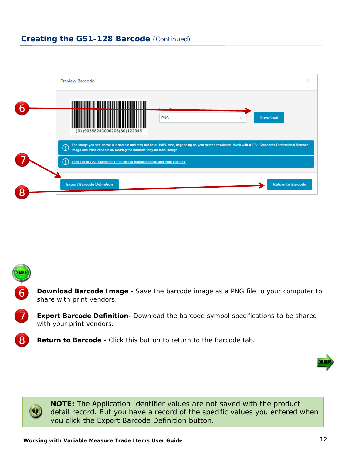#### **Creating the GS1-128 Barcode** *(Continued)*

|                | ×<br><b>Preview Barcode</b>                                                                                                                                                                                                                     |  |
|----------------|-------------------------------------------------------------------------------------------------------------------------------------------------------------------------------------------------------------------------------------------------|--|
| 6              |                                                                                                                                                                                                                                                 |  |
|                | <b>Download</b><br><b>PNG</b><br>(01)90358243000206(30)122345                                                                                                                                                                                   |  |
|                | The image you see above is a sample and may not be at 100% size, depending on your screen resolution. Work with a GS1 Standards Professional Barcode<br>$^\copyright$<br>Image and Print Vendors on resizing the barcode for your label design. |  |
|                | O<br>View List of GS1 Standards Professional Barcode Image and Print Vendors.                                                                                                                                                                   |  |
| $\overline{8}$ | <b>Return to Barcode</b><br><b>Export Barcode Definition</b>                                                                                                                                                                                    |  |

**Download Barcode Image -** Save the barcode image as a PNG file to your computer to share with print vendors.

**Export Barcode Definition-** Download the barcode symbol specifications to be shared with your print vendors.

**Return to Barcode -** Click this button to return to the Barcode tab.





6

7

8

**NOTE:** The Application Identifier values are not saved with the product detail record. But you have a record of the specific values you entered when you click the Export Barcode Definition button.